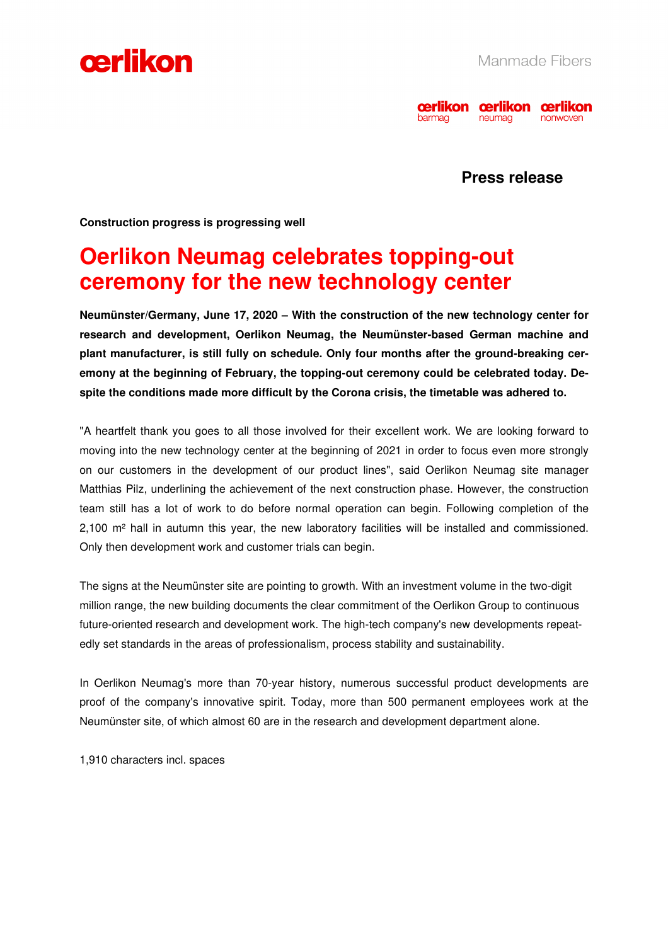



# **Press release**

**Construction progress is progressing well** 

# **Oerlikon Neumag celebrates topping-out ceremony for the new technology center**

**Neumünster/Germany, June 17, 2020 – With the construction of the new technology center for research and development, Oerlikon Neumag, the Neumünster-based German machine and plant manufacturer, is still fully on schedule. Only four months after the ground-breaking ceremony at the beginning of February, the topping-out ceremony could be celebrated today. Despite the conditions made more difficult by the Corona crisis, the timetable was adhered to.** 

"A heartfelt thank you goes to all those involved for their excellent work. We are looking forward to moving into the new technology center at the beginning of 2021 in order to focus even more strongly on our customers in the development of our product lines", said Oerlikon Neumag site manager Matthias Pilz, underlining the achievement of the next construction phase. However, the construction team still has a lot of work to do before normal operation can begin. Following completion of the 2,100 m² hall in autumn this year, the new laboratory facilities will be installed and commissioned. Only then development work and customer trials can begin.

The signs at the Neumünster site are pointing to growth. With an investment volume in the two-digit million range, the new building documents the clear commitment of the Oerlikon Group to continuous future-oriented research and development work. The high-tech company's new developments repeatedly set standards in the areas of professionalism, process stability and sustainability.

In Oerlikon Neumag's more than 70-year history, numerous successful product developments are proof of the company's innovative spirit. Today, more than 500 permanent employees work at the Neumünster site, of which almost 60 are in the research and development department alone.

1,910 characters incl. spaces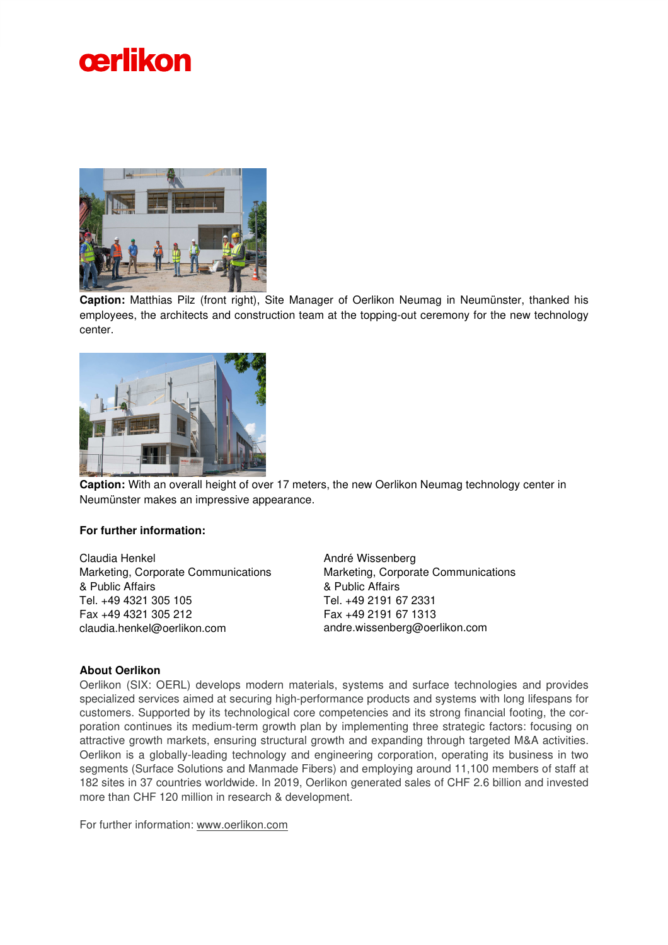



**Caption:** Matthias Pilz (front right), Site Manager of Oerlikon Neumag in Neumünster, thanked his employees, the architects and construction team at the topping-out ceremony for the new technology center.



**Caption:** With an overall height of over 17 meters, the new Oerlikon Neumag technology center in Neumünster makes an impressive appearance.

## **For further information:**

Claudia Henkel Marketing, Corporate Communications & Public Affairs Tel. +49 4321 305 105 Fax +49 4321 305 212 claudia.henkel@oerlikon.com

André Wissenberg Marketing, Corporate Communications & Public Affairs Tel. +49 2191 67 2331 Fax +49 2191 67 1313 andre.wissenberg@oerlikon.com

### **About Oerlikon**

Oerlikon (SIX: OERL) develops modern materials, systems and surface technologies and provides specialized services aimed at securing high-performance products and systems with long lifespans for customers. Supported by its technological core competencies and its strong financial footing, the corporation continues its medium-term growth plan by implementing three strategic factors: focusing on attractive growth markets, ensuring structural growth and expanding through targeted M&A activities. Oerlikon is a globally-leading technology and engineering corporation, operating its business in two segments (Surface Solutions and Manmade Fibers) and employing around 11,100 members of staff at 182 sites in 37 countries worldwide. In 2019, Oerlikon generated sales of CHF 2.6 billion and invested more than CHF 120 million in research & development.

For further information: www.oerlikon.com